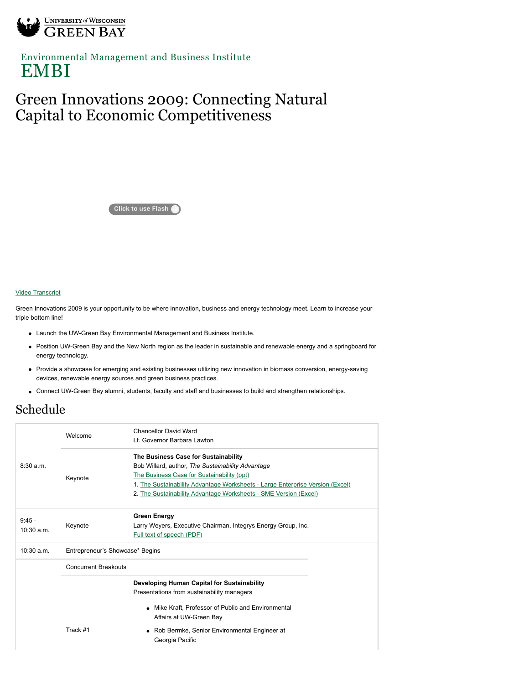

[Environmental Management and Business Institute](http://www.uwgb.edu/embi/) EMBI

## Green Innovations 2009: Connecting Natural Capital to Economic Competitiveness

**Click to use Flash**

## [Video Transcript](http://news.uwgb.edu/multimedia/video/04/13/embi_video/)

Green Innovations 2009 is your opportunity to be where innovation, business and energy technology meet. Learn to increase your triple bottom line!

- Launch the UW-Green Bay Environmental Management and Business Institute.
- Position UW-Green Bay and the New North region as the leader in sustainable and renewable energy and a springboard for energy technology.
- Provide a showcase for emerging and existing businesses utilizing new innovation in biomass conversion, energy-saving devices, renewable energy sources and green business practices.
- Connect UW-Green Bay alumni, students, faculty and staff and businesses to build and strengthen relationships.

## Schedule

|                        | Welcome                         | <b>Chancellor David Ward</b><br>Lt. Governor Barbara Lawton                                                                                                                                                                                                                                  |  |
|------------------------|---------------------------------|----------------------------------------------------------------------------------------------------------------------------------------------------------------------------------------------------------------------------------------------------------------------------------------------|--|
| 8:30a.m.               | Keynote                         | The Business Case for Sustainability<br>Bob Willard, author, The Sustainability Advantage<br>The Business Case for Sustainability (ppt)<br>1. The Sustainability Advantage Worksheets - Large Enterprise Version (Excel)<br>2. The Sustainability Advantage Worksheets - SME Version (Excel) |  |
| $9:45 -$<br>10:30 a.m. | Keynote                         | <b>Green Energy</b><br>Larry Weyers, Executive Chairman, Integrys Energy Group, Inc.<br>Full text of speech (PDF)                                                                                                                                                                            |  |
| $10:30$ a.m.           | Entrepreneur's Showcase* Begins |                                                                                                                                                                                                                                                                                              |  |
|                        | <b>Concurrent Breakouts</b>     |                                                                                                                                                                                                                                                                                              |  |
|                        | Track #1                        | Developing Human Capital for Sustainability<br>Presentations from sustainability managers<br>• Mike Kraft, Professor of Public and Environmental<br>Affairs at UW-Green Bay<br>• Rob Bermke, Senior Environmental Engineer at<br>Georgia Pacific                                             |  |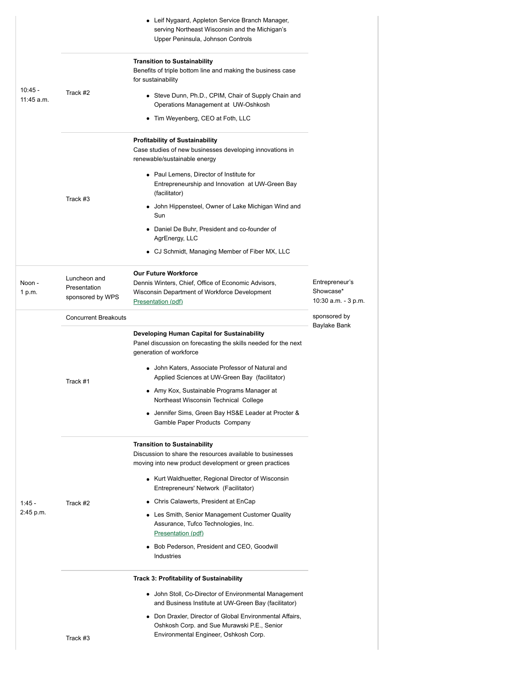|                         |                                                  | • Leif Nygaard, Appleton Service Branch Manager,<br>serving Northeast Wisconsin and the Michigan's<br>Upper Peninsula, Johnson Controls                                        |                                                    |
|-------------------------|--------------------------------------------------|--------------------------------------------------------------------------------------------------------------------------------------------------------------------------------|----------------------------------------------------|
|                         |                                                  | <b>Transition to Sustainability</b><br>Benefits of triple bottom line and making the business case<br>for sustainability                                                       |                                                    |
| $10:45 -$<br>11:45 a.m. | Track #2                                         | • Steve Dunn, Ph.D., CPIM, Chair of Supply Chain and<br>Operations Management at UW-Oshkosh                                                                                    |                                                    |
|                         |                                                  | • Tim Weyenberg, CEO at Foth, LLC                                                                                                                                              |                                                    |
|                         |                                                  | <b>Profitability of Sustainability</b><br>Case studies of new businesses developing innovations in<br>renewable/sustainable energy<br>• Paul Lemens, Director of Institute for |                                                    |
|                         | Track #3                                         | Entrepreneurship and Innovation at UW-Green Bay<br>(facilitator)                                                                                                               |                                                    |
|                         |                                                  | • John Hippensteel, Owner of Lake Michigan Wind and<br>Sun                                                                                                                     |                                                    |
|                         |                                                  | Daniel De Buhr, President and co-founder of<br>AgrEnergy, LLC                                                                                                                  |                                                    |
|                         |                                                  | • CJ Schmidt, Managing Member of Fiber MX, LLC                                                                                                                                 |                                                    |
| Noon -<br>1 p.m.        | Luncheon and<br>Presentation<br>sponsored by WPS | <b>Our Future Workforce</b><br>Dennis Winters, Chief, Office of Economic Advisors,<br>Wisconsin Department of Workforce Development<br>Presentation (pdf)                      | Entrepreneur's<br>Showcase*<br>10:30 a.m. - 3 p.m. |
|                         | <b>Concurrent Breakouts</b>                      |                                                                                                                                                                                | sponsored by<br>Baylake Bank                       |
|                         |                                                  | Developing Human Capital for Sustainability<br>Panel discussion on forecasting the skills needed for the next<br>generation of workforce                                       |                                                    |
|                         | Track #1                                         | • John Katers, Associate Professor of Natural and<br>Applied Sciences at UW-Green Bay (facilitator)                                                                            |                                                    |
|                         |                                                  | • Amy Kox, Sustainable Programs Manager at<br>Northeast Wisconsin Technical College                                                                                            |                                                    |
|                         |                                                  | • Jennifer Sims, Green Bay HS&E Leader at Procter &<br>Gamble Paper Products Company                                                                                           |                                                    |
|                         |                                                  | <b>Transition to Sustainability</b><br>Discussion to share the resources available to businesses<br>moving into new product development or green practices                     |                                                    |
|                         |                                                  | • Kurt Waldhuetter, Regional Director of Wisconsin<br>Entrepreneurs' Network (Facilitator)                                                                                     |                                                    |
| $1:45 -$                | Track #2                                         | • Chris Calawerts, President at EnCap                                                                                                                                          |                                                    |
| 2:45 p.m.               |                                                  | • Les Smith, Senior Management Customer Quality<br>Assurance, Tufco Technologies, Inc.<br><b>Presentation (pdf)</b>                                                            |                                                    |
|                         |                                                  | • Bob Pederson, President and CEO, Goodwill<br>Industries                                                                                                                      |                                                    |
|                         |                                                  | <b>Track 3: Profitability of Sustainability</b>                                                                                                                                |                                                    |
|                         |                                                  | • John Stoll, Co-Director of Environmental Management<br>and Business Institute at UW-Green Bay (facilitator)                                                                  |                                                    |
|                         |                                                  | • Don Draxler, Director of Global Environmental Affairs,<br>Oshkosh Corp. and Sue Murawski P.E., Senior                                                                        |                                                    |
|                         | Track #3                                         | Environmental Engineer, Oshkosh Corp.                                                                                                                                          |                                                    |